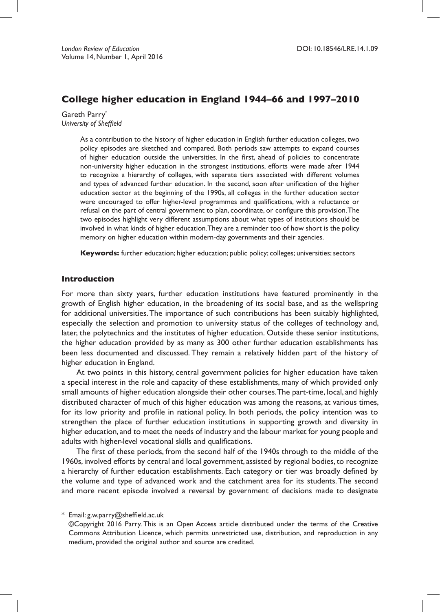# **College higher education in England 1944–66 and 1997–2010**

Gareth Parry\* *University of Sheffield*

> As a contribution to the history of higher education in English further education colleges, two policy episodes are sketched and compared. Both periods saw attempts to expand courses of higher education outside the universities. In the first, ahead of policies to concentrate non-university higher education in the strongest institutions, efforts were made after 1944 to recognize a hierarchy of colleges, with separate tiers associated with different volumes and types of advanced further education. In the second, soon after unification of the higher education sector at the beginning of the 1990s, all colleges in the further education sector were encouraged to offer higher-level programmes and qualifications, with a reluctance or refusal on the part of central government to plan, coordinate, or configure this provision.The two episodes highlight very different assumptions about what types of institutions should be involved in what kinds of higher education.They are a reminder too of how short is the policy memory on higher education within modern-day governments and their agencies.

**Keywords:** further education; higher education; public policy; colleges; universities; sectors

#### **Introduction**

For more than sixty years, further education institutions have featured prominently in the growth of English higher education, in the broadening of its social base, and as the wellspring for additional universities.The importance of such contributions has been suitably highlighted, especially the selection and promotion to university status of the colleges of technology and, later, the polytechnics and the institutes of higher education. Outside these senior institutions, the higher education provided by as many as 300 other further education establishments has been less documented and discussed. They remain a relatively hidden part of the history of higher education in England.

At two points in this history, central government policies for higher education have taken a special interest in the role and capacity of these establishments, many of which provided only small amounts of higher education alongside their other courses.The part-time, local, and highly distributed character of much of this higher education was among the reasons, at various times, for its low priority and profile in national policy. In both periods, the policy intention was to strengthen the place of further education institutions in supporting growth and diversity in higher education, and to meet the needs of industry and the labour market for young people and adults with higher-level vocational skills and qualifications.

The first of these periods, from the second half of the 1940s through to the middle of the 1960s, involved efforts by central and local government, assisted by regional bodies, to recognize a hierarchy of further education establishments. Each category or tier was broadly defined by the volume and type of advanced work and the catchment area for its students. The second and more recent episode involved a reversal by government of decisions made to designate

\* Email: g.w.parry@sheffield.ac.uk

<sup>©</sup>Copyright 2016 Parry. This is an Open Access article distributed under the terms of the Creative Commons Attribution Licence, which permits unrestricted use, distribution, and reproduction in any medium, provided the original author and source are credited.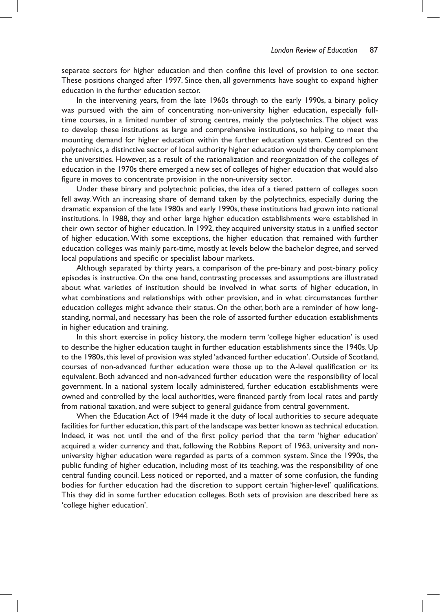separate sectors for higher education and then confine this level of provision to one sector. These positions changed after 1997. Since then, all governments have sought to expand higher education in the further education sector.

In the intervening years, from the late 1960s through to the early 1990s, a binary policy was pursued with the aim of concentrating non-university higher education, especially fulltime courses, in a limited number of strong centres, mainly the polytechnics. The object was to develop these institutions as large and comprehensive institutions, so helping to meet the mounting demand for higher education within the further education system. Centred on the polytechnics, a distinctive sector of local authority higher education would thereby complement the universities. However, as a result of the rationalization and reorganization of the colleges of education in the 1970s there emerged a new set of colleges of higher education that would also figure in moves to concentrate provision in the non-university sector.

Under these binary and polytechnic policies, the idea of a tiered pattern of colleges soon fell away.With an increasing share of demand taken by the polytechnics, especially during the dramatic expansion of the late 1980s and early 1990s, these institutions had grown into national institutions. In 1988, they and other large higher education establishments were established in their own sector of higher education. In 1992, they acquired university status in a unified sector of higher education.With some exceptions, the higher education that remained with further education colleges was mainly part-time, mostly at levels below the bachelor degree, and served local populations and specific or specialist labour markets.

Although separated by thirty years, a comparison of the pre-binary and post-binary policy episodes is instructive. On the one hand, contrasting processes and assumptions are illustrated about what varieties of institution should be involved in what sorts of higher education, in what combinations and relationships with other provision, and in what circumstances further education colleges might advance their status. On the other, both are a reminder of how longstanding, normal, and necessary has been the role of assorted further education establishments in higher education and training.

In this short exercise in policy history, the modern term 'college higher education' is used to describe the higher education taught in further education establishments since the 1940s. Up to the 1980s, this level of provision was styled 'advanced further education'. Outside of Scotland, courses of non-advanced further education were those up to the A-level qualification or its equivalent. Both advanced and non-advanced further education were the responsibility of local government. In a national system locally administered, further education establishments were owned and controlled by the local authorities, were financed partly from local rates and partly from national taxation, and were subject to general guidance from central government.

When the Education Act of 1944 made it the duty of local authorities to secure adequate facilities for further education,this part of the landscape was better known as technical education. Indeed, it was not until the end of the first policy period that the term 'higher education' acquired a wider currency and that, following the Robbins Report of 1963, university and nonuniversity higher education were regarded as parts of a common system. Since the 1990s, the public funding of higher education, including most of its teaching, was the responsibility of one central funding council. Less noticed or reported, and a matter of some confusion, the funding bodies for further education had the discretion to support certain 'higher-level' qualifications. This they did in some further education colleges. Both sets of provision are described here as 'college higher education'.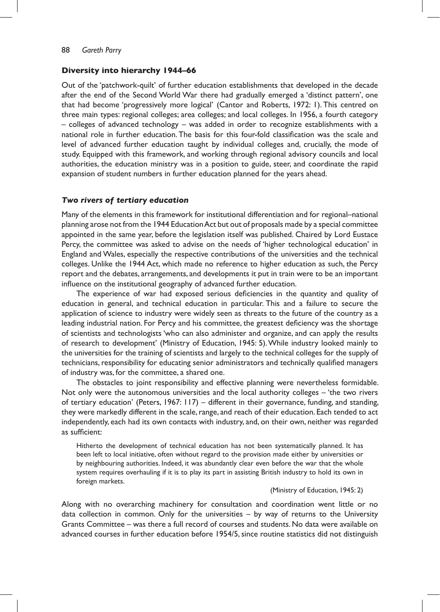### **Diversity into hierarchy 1944–66**

Out of the 'patchwork-quilt' of further education establishments that developed in the decade after the end of the Second World War there had gradually emerged a 'distinct pattern', one that had become 'progressively more logical' (Cantor and Roberts, 1972: 1). This centred on three main types: regional colleges; area colleges; and local colleges. In 1956, a fourth category – colleges of advanced technology – was added in order to recognize establishments with a national role in further education. The basis for this four-fold classification was the scale and level of advanced further education taught by individual colleges and, crucially, the mode of study. Equipped with this framework, and working through regional advisory councils and local authorities, the education ministry was in a position to guide, steer, and coordinate the rapid expansion of student numbers in further education planned for the years ahead.

### *Two rivers of tertiary education*

Many of the elements in this framework for institutional differentiation and for regional–national planning arose not from the 1944 Education Act but out of proposals made by a special committee appointed in the same year, before the legislation itself was published. Chaired by Lord Eustace Percy, the committee was asked to advise on the needs of 'higher technological education' in England and Wales, especially the respective contributions of the universities and the technical colleges. Unlike the 1944 Act, which made no reference to higher education as such, the Percy report and the debates, arrangements, and developments it put in train were to be an important influence on the institutional geography of advanced further education.

The experience of war had exposed serious deficiencies in the quantity and quality of education in general, and technical education in particular. This and a failure to secure the application of science to industry were widely seen as threats to the future of the country as a leading industrial nation. For Percy and his committee, the greatest deficiency was the shortage of scientists and technologists 'who can also administer and organize, and can apply the results of research to development' (Ministry of Education, 1945: 5).While industry looked mainly to the universities for the training of scientists and largely to the technical colleges for the supply of technicians, responsibility for educating senior administrators and technically qualified managers of industry was, for the committee, a shared one.

The obstacles to joint responsibility and effective planning were nevertheless formidable. Not only were the autonomous universities and the local authority colleges – 'the two rivers of tertiary education' (Peters, 1967: 117) – different in their governance, funding, and standing, they were markedly different in the scale, range, and reach of their education. Each tended to act independently, each had its own contacts with industry, and, on their own, neither was regarded as sufficient:

Hitherto the development of technical education has not been systematically planned. It has been left to local initiative, often without regard to the provision made either by universities or by neighbouring authorities. Indeed, it was abundantly clear even before the war that the whole system requires overhauling if it is to play its part in assisting British industry to hold its own in foreign markets.

(Ministry of Education, 1945: 2)

Along with no overarching machinery for consultation and coordination went little or no data collection in common. Only for the universities – by way of returns to the University Grants Committee – was there a full record of courses and students. No data were available on advanced courses in further education before 1954/5, since routine statistics did not distinguish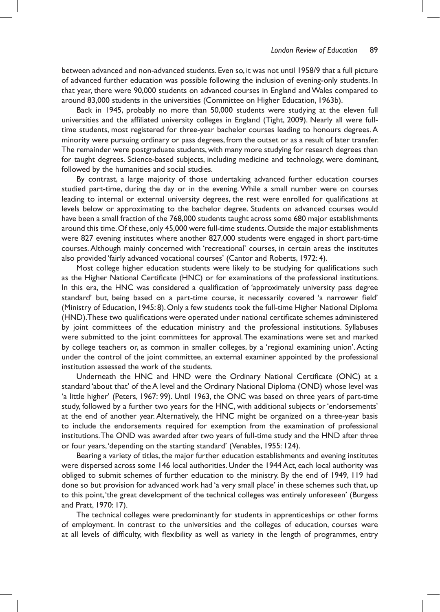between advanced and non-advanced students. Even so, it was not until 1958/9 that a full picture of advanced further education was possible following the inclusion of evening-only students. In that year, there were 90,000 students on advanced courses in England and Wales compared to around 83,000 students in the universities (Committee on Higher Education, 1963b).

Back in 1945, probably no more than 50,000 students were studying at the eleven full universities and the affiliated university colleges in England (Tight, 2009). Nearly all were fulltime students, most registered for three-year bachelor courses leading to honours degrees.A minority were pursuing ordinary or pass degrees, from the outset or as a result of later transfer. The remainder were postgraduate students, with many more studying for research degrees than for taught degrees. Science-based subjects, including medicine and technology, were dominant, followed by the humanities and social studies.

By contrast, a large majority of those undertaking advanced further education courses studied part-time, during the day or in the evening. While a small number were on courses leading to internal or external university degrees, the rest were enrolled for qualifications at levels below or approximating to the bachelor degree. Students on advanced courses would have been a small fraction of the 768,000 students taught across some 680 major establishments around this time.Of these,only 45,000 were full-time students.Outside the major establishments were 827 evening institutes where another 827,000 students were engaged in short part-time courses.Although mainly concerned with 'recreational' courses, in certain areas the institutes also provided 'fairly advanced vocational courses' (Cantor and Roberts, 1972: 4).

Most college higher education students were likely to be studying for qualifications such as the Higher National Certificate (HNC) or for examinations of the professional institutions. In this era, the HNC was considered a qualification of 'approximately university pass degree standard' but, being based on a part-time course, it necessarily covered 'a narrower field' (Ministry of Education, 1945: 8). Only a few students took the full-time Higher National Diploma (HND).These two qualifications were operated under national certificate schemes administered by joint committees of the education ministry and the professional institutions. Syllabuses were submitted to the joint committees for approval.The examinations were set and marked by college teachers or, as common in smaller colleges, by a 'regional examining union'. Acting under the control of the joint committee, an external examiner appointed by the professional institution assessed the work of the students.

Underneath the HNC and HND were the Ordinary National Certificate (ONC) at a standard 'about that' of the A level and the Ordinary National Diploma (OND) whose level was 'a little higher' (Peters, 1967: 99). Until 1963, the ONC was based on three years of part-time study, followed by a further two years for the HNC, with additional subjects or'endorsements' at the end of another year. Alternatively, the HNC might be organized on a three-year basis to include the endorsements required for exemption from the examination of professional institutions.The OND was awarded after two years of full-time study and the HND after three or four years,'depending on the starting standard' (Venables, 1955: 124).

Bearing a variety of titles, the major further education establishments and evening institutes were dispersed across some 146 local authorities. Under the 1944 Act, each local authority was obliged to submit schemes of further education to the ministry. By the end of 1949, 119 had done so but provision for advanced work had 'a very small place' in these schemes such that, up to this point,'the great development of the technical colleges was entirely unforeseen' (Burgess and Pratt, 1970: 17).

The technical colleges were predominantly for students in apprenticeships or other forms of employment. In contrast to the universities and the colleges of education, courses were at all levels of difficulty, with flexibility as well as variety in the length of programmes, entry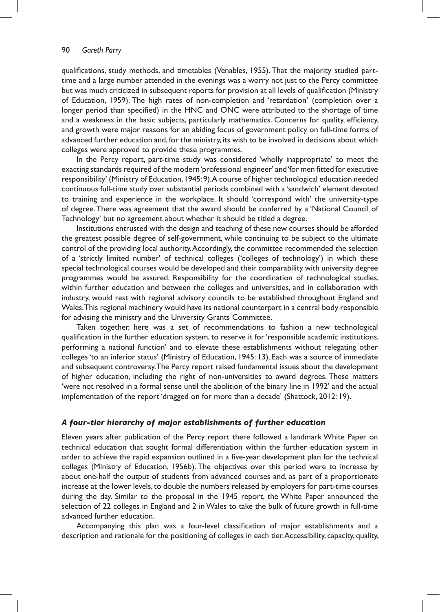qualifications, study methods, and timetables (Venables, 1955).That the majority studied parttime and a large number attended in the evenings was a worry not just to the Percy committee but was much criticized in subsequent reports for provision at all levels of qualification (Ministry of Education, 1959). The high rates of non-completion and 'retardation' (completion over a longer period than specified) in the HNC and ONC were attributed to the shortage of time and a weakness in the basic subjects, particularly mathematics. Concerns for quality, efficiency, and growth were major reasons for an abiding focus of government policy on full-time forms of advanced further education and, for the ministry, its wish to be involved in decisions about which colleges were approved to provide these programmes.

In the Percy report, part-time study was considered 'wholly inappropriate' to meet the exacting standards required of the modern'professional engineer' and 'for men fitted for executive responsibility' (Ministry of Education,1945:9).A course of higher technological education needed continuous full-time study over substantial periods combined with a 'sandwich' element devoted to training and experience in the workplace. It should 'correspond with' the university-type of degree.There was agreement that the award should be conferred by a 'National Council of Technology' but no agreement about whether it should be titled a degree.

Institutions entrusted with the design and teaching of these new courses should be afforded the greatest possible degree of self-government, while continuing to be subject to the ultimate control of the providing local authority.Accordingly, the committee recommended the selection of a 'strictly limited number' of technical colleges ('colleges of technology') in which these special technological courses would be developed and their comparability with university degree programmes would be assured. Responsibility for the coordination of technological studies, within further education and between the colleges and universities, and in collaboration with industry, would rest with regional advisory councils to be established throughout England and Wales.This regional machinery would have its national counterpart in a central body responsible for advising the ministry and the University Grants Committee.

Taken together, here was a set of recommendations to fashion a new technological qualification in the further education system, to reserve it for'responsible academic institutions, performing a national function' and to elevate these establishments without relegating other colleges'to an inferior status' (Ministry of Education, 1945: 13). Each was a source of immediate and subsequent controversy.The Percy report raised fundamental issues about the development of higher education, including the right of non-universities to award degrees. These matters 'were not resolved in a formal sense until the abolition of the binary line in 1992' and the actual implementation of the report 'dragged on for more than a decade' (Shattock, 2012: 19).

### *A four-tier hierarchy of major establishments of further education*

Eleven years after publication of the Percy report there followed a landmark White Paper on technical education that sought formal differentiation within the further education system in order to achieve the rapid expansion outlined in a five-year development plan for the technical colleges (Ministry of Education, 1956b). The objectives over this period were to increase by about one-half the output of students from advanced courses and, as part of a proportionate increase at the lower levels, to double the numbers released by employers for part-time courses during the day. Similar to the proposal in the 1945 report, the White Paper announced the selection of 22 colleges in England and 2 in Wales to take the bulk of future growth in full-time advanced further education.

Accompanying this plan was a four-level classification of major establishments and a description and rationale for the positioning of colleges in each tier.Accessibility, capacity, quality,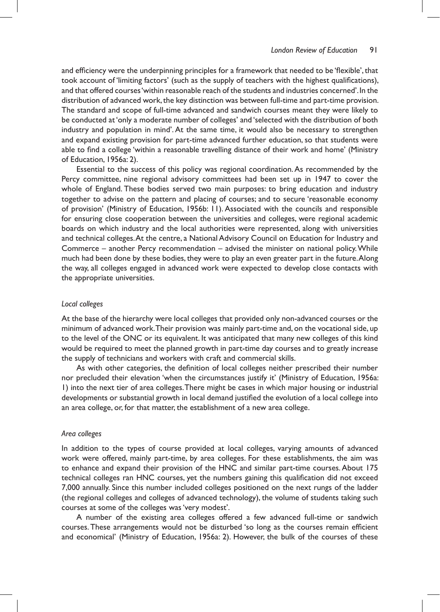and efficiency were the underpinning principles for a framework that needed to be 'flexible', that took account of 'limiting factors' (such as the supply of teachers with the highest qualifications), and that offered courses'within reasonable reach of the students and industries concerned'.In the distribution of advanced work, the key distinction was between full-time and part-time provision. The standard and scope of full-time advanced and sandwich courses meant they were likely to be conducted at'only a moderate number of colleges' and 'selected with the distribution of both industry and population in mind'.At the same time, it would also be necessary to strengthen and expand existing provision for part-time advanced further education, so that students were able to find a college 'within a reasonable travelling distance of their work and home' (Ministry of Education, 1956a: 2).

Essential to the success of this policy was regional coordination.As recommended by the Percy committee, nine regional advisory committees had been set up in 1947 to cover the whole of England. These bodies served two main purposes: to bring education and industry together to advise on the pattern and placing of courses; and to secure 'reasonable economy of provision' (Ministry of Education, 1956b: 11). Associated with the councils and responsible for ensuring close cooperation between the universities and colleges, were regional academic boards on which industry and the local authorities were represented, along with universities and technical colleges. At the centre, a National Advisory Council on Education for Industry and Commerce – another Percy recommendation – advised the minister on national policy.While much had been done by these bodies, they were to play an even greater part in the future. Along the way, all colleges engaged in advanced work were expected to develop close contacts with the appropriate universities.

### *Local colleges*

At the base of the hierarchy were local colleges that provided only non-advanced courses or the minimum of advanced work.Their provision was mainly part-time and, on the vocational side, up to the level of the ONC or its equivalent. It was anticipated that many new colleges of this kind would be required to meet the planned growth in part-time day courses and to greatly increase the supply of technicians and workers with craft and commercial skills.

As with other categories, the definition of local colleges neither prescribed their number nor precluded their elevation 'when the circumstances justify it' (Ministry of Education, 1956a: 1) into the next tier of area colleges.There might be cases in which major housing or industrial developments or substantial growth in local demand justified the evolution of a local college into an area college, or, for that matter, the establishment of a new area college.

### *Area colleges*

In addition to the types of course provided at local colleges, varying amounts of advanced work were offered, mainly part-time, by area colleges. For these establishments, the aim was to enhance and expand their provision of the HNC and similar part-time courses.About 175 technical colleges ran HNC courses, yet the numbers gaining this qualification did not exceed 7,000 annually. Since this number included colleges positioned on the next rungs of the ladder (the regional colleges and colleges of advanced technology), the volume of students taking such courses at some of the colleges was'very modest'.

A number of the existing area colleges offered a few advanced full-time or sandwich courses.These arrangements would not be disturbed 'so long as the courses remain efficient and economical' (Ministry of Education, 1956a: 2). However, the bulk of the courses of these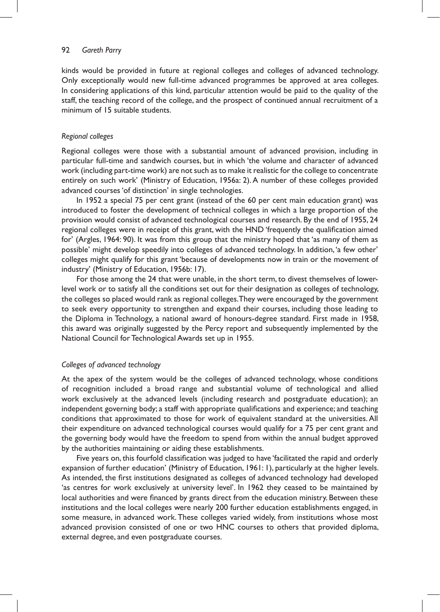#### 92 *Gareth Parry*

kinds would be provided in future at regional colleges and colleges of advanced technology. Only exceptionally would new full-time advanced programmes be approved at area colleges. In considering applications of this kind, particular attention would be paid to the quality of the staff, the teaching record of the college, and the prospect of continued annual recruitment of a minimum of 15 suitable students.

#### *Regional colleges*

Regional colleges were those with a substantial amount of advanced provision, including in particular full-time and sandwich courses, but in which 'the volume and character of advanced work (including part-time work) are not such as to make it realistic for the college to concentrate entirely on such work' (Ministry of Education, 1956a: 2).A number of these colleges provided advanced courses'of distinction' in single technologies.

In 1952 a special 75 per cent grant (instead of the 60 per cent main education grant) was introduced to foster the development of technical colleges in which a large proportion of the provision would consist of advanced technological courses and research. By the end of 1955, 24 regional colleges were in receipt of this grant, with the HND 'frequently the qualification aimed for' (Argles, 1964: 90). It was from this group that the ministry hoped that 'as many of them as possible' might develop speedily into colleges of advanced technology. In addition, 'a few other' colleges might qualify for this grant 'because of developments now in train or the movement of industry' (Ministry of Education, 1956b: 17).

For those among the 24 that were unable, in the short term, to divest themselves of lowerlevel work or to satisfy all the conditions set out for their designation as colleges of technology, the colleges so placed would rank as regional colleges.They were encouraged by the government to seek every opportunity to strengthen and expand their courses, including those leading to the Diploma in Technology, a national award of honours-degree standard. First made in 1958, this award was originally suggested by the Percy report and subsequently implemented by the National Council for Technological Awards set up in 1955.

### *Colleges of advanced technology*

At the apex of the system would be the colleges of advanced technology, whose conditions of recognition included a broad range and substantial volume of technological and allied work exclusively at the advanced levels (including research and postgraduate education); an independent governing body; a staff with appropriate qualifications and experience; and teaching conditions that approximated to those for work of equivalent standard at the universities.All their expenditure on advanced technological courses would qualify for a 75 per cent grant and the governing body would have the freedom to spend from within the annual budget approved by the authorities maintaining or aiding these establishments.

Five years on,this fourfold classification was judged to have 'facilitated the rapid and orderly expansion of further education' (Ministry of Education, 1961: 1), particularly at the higher levels. As intended, the first institutions designated as colleges of advanced technology had developed 'as centres for work exclusively at university level'. In 1962 they ceased to be maintained by local authorities and were financed by grants direct from the education ministry. Between these institutions and the local colleges were nearly 200 further education establishments engaged, in some measure, in advanced work.These colleges varied widely, from institutions whose most advanced provision consisted of one or two HNC courses to others that provided diploma, external degree, and even postgraduate courses.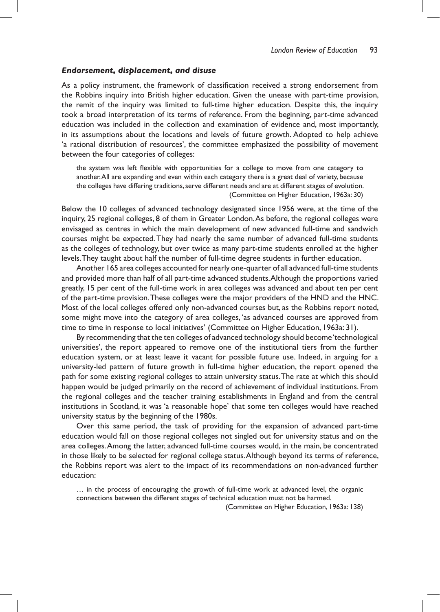#### *Endorsement, displacement, and disuse*

As a policy instrument, the framework of classification received a strong endorsement from the Robbins inquiry into British higher education. Given the unease with part-time provision, the remit of the inquiry was limited to full-time higher education. Despite this, the inquiry took a broad interpretation of its terms of reference. From the beginning, part-time advanced education was included in the collection and examination of evidence and, most importantly, in its assumptions about the locations and levels of future growth. Adopted to help achieve 'a rational distribution of resources', the committee emphasized the possibility of movement between the four categories of colleges:

the system was left flexible with opportunities for a college to move from one category to another.All are expanding and even within each category there is a great deal of variety, because the colleges have differing traditions, serve different needs and are at different stages of evolution. (Committee on Higher Education, 1963a: 30)

Below the 10 colleges of advanced technology designated since 1956 were, at the time of the inquiry, 25 regional colleges, 8 of them in Greater London.As before, the regional colleges were envisaged as centres in which the main development of new advanced full-time and sandwich courses might be expected.They had nearly the same number of advanced full-time students as the colleges of technology, but over twice as many part-time students enrolled at the higher levels.They taught about half the number of full-time degree students in further education.

Another 165 area colleges accounted for nearly one-quarter of all advanced full-time students and provided more than half of all part-time advanced students.Although the proportions varied greatly, 15 per cent of the full-time work in area colleges was advanced and about ten per cent of the part-time provision.These colleges were the major providers of the HND and the HNC. Most of the local colleges offered only non-advanced courses but, as the Robbins report noted, some might move into the category of area colleges, 'as advanced courses are approved from time to time in response to local initiatives' (Committee on Higher Education, 1963a: 31).

By recommending that the ten colleges of advanced technology should become'technological universities', the report appeared to remove one of the institutional tiers from the further education system, or at least leave it vacant for possible future use. Indeed, in arguing for a university-led pattern of future growth in full-time higher education, the report opened the path for some existing regional colleges to attain university status.The rate at which this should happen would be judged primarily on the record of achievement of individual institutions. From the regional colleges and the teacher training establishments in England and from the central institutions in Scotland, it was 'a reasonable hope' that some ten colleges would have reached university status by the beginning of the 1980s.

Over this same period, the task of providing for the expansion of advanced part-time education would fall on those regional colleges not singled out for university status and on the area colleges.Among the latter, advanced full-time courses would, in the main, be concentrated in those likely to be selected for regional college status.Although beyond its terms of reference, the Robbins report was alert to the impact of its recommendations on non-advanced further education:

… in the process of encouraging the growth of full-time work at advanced level, the organic connections between the different stages of technical education must not be harmed.

(Committee on Higher Education, 1963a: 138)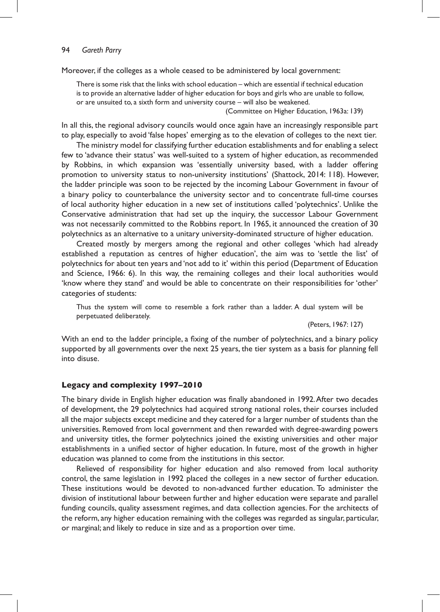Moreover, if the colleges as a whole ceased to be administered by local government:

There is some risk that the links with school education – which are essential if technical education is to provide an alternative ladder of higher education for boys and girls who are unable to follow, or are unsuited to, a sixth form and university course – will also be weakened.

(Committee on Higher Education, 1963a: 139)

In all this, the regional advisory councils would once again have an increasingly responsible part to play, especially to avoid 'false hopes' emerging as to the elevation of colleges to the next tier.

The ministry model for classifying further education establishments and for enabling a select few to 'advance their status' was well-suited to a system of higher education, as recommended by Robbins, in which expansion was 'essentially university based, with a ladder offering promotion to university status to non-university institutions' (Shattock, 2014: 118). However, the ladder principle was soon to be rejected by the incoming Labour Government in favour of a binary policy to counterbalance the university sector and to concentrate full-time courses of local authority higher education in a new set of institutions called 'polytechnics'. Unlike the Conservative administration that had set up the inquiry, the successor Labour Government was not necessarily committed to the Robbins report. In 1965, it announced the creation of 30 polytechnics as an alternative to a unitary university-dominated structure of higher education.

Created mostly by mergers among the regional and other colleges 'which had already established a reputation as centres of higher education', the aim was to 'settle the list' of polytechnics for about ten years and 'not add to it' within this period (Department of Education and Science, 1966: 6). In this way, the remaining colleges and their local authorities would 'know where they stand' and would be able to concentrate on their responsibilities for 'other' categories of students:

Thus the system will come to resemble a fork rather than a ladder. A dual system will be perpetuated deliberately.

(Peters, 1967: 127)

With an end to the ladder principle, a fixing of the number of polytechnics, and a binary policy supported by all governments over the next 25 years, the tier system as a basis for planning fell into disuse.

### **Legacy and complexity 1997–2010**

The binary divide in English higher education was finally abandoned in 1992.After two decades of development, the 29 polytechnics had acquired strong national roles, their courses included all the major subjects except medicine and they catered for a larger number of students than the universities. Removed from local government and then rewarded with degree-awarding powers and university titles, the former polytechnics joined the existing universities and other major establishments in a unified sector of higher education. In future, most of the growth in higher education was planned to come from the institutions in this sector.

Relieved of responsibility for higher education and also removed from local authority control, the same legislation in 1992 placed the colleges in a new sector of further education. These institutions would be devoted to non-advanced further education. To administer the division of institutional labour between further and higher education were separate and parallel funding councils, quality assessment regimes, and data collection agencies. For the architects of the reform, any higher education remaining with the colleges was regarded as singular, particular, or marginal; and likely to reduce in size and as a proportion over time.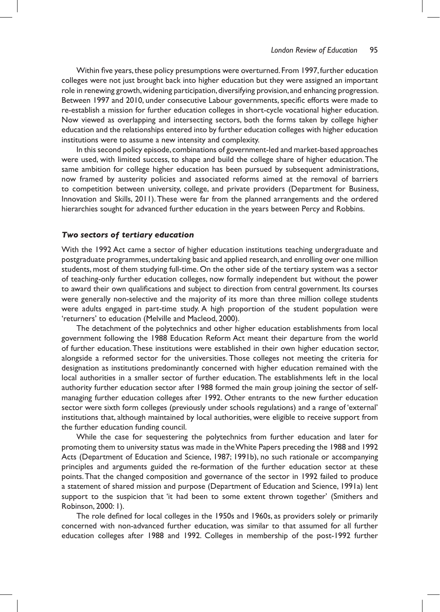Within five years, these policy presumptions were overturned. From 1997, further education colleges were not just brought back into higher education but they were assigned an important role in renewing growth, widening participation, diversifying provision, and enhancing progression. Between 1997 and 2010, under consecutive Labour governments, specific efforts were made to re-establish a mission for further education colleges in short-cycle vocational higher education. Now viewed as overlapping and intersecting sectors, both the forms taken by college higher education and the relationships entered into by further education colleges with higher education institutions were to assume a new intensity and complexity.

In this second policy episode, combinations of government-led and market-based approaches were used, with limited success, to shape and build the college share of higher education.The same ambition for college higher education has been pursued by subsequent administrations, now framed by austerity policies and associated reforms aimed at the removal of barriers to competition between university, college, and private providers (Department for Business, Innovation and Skills, 2011). These were far from the planned arrangements and the ordered hierarchies sought for advanced further education in the years between Percy and Robbins.

### *Two sectors of tertiary education*

With the 1992 Act came a sector of higher education institutions teaching undergraduate and postgraduate programmes,undertaking basic and applied research, and enrolling over one million students, most of them studying full-time. On the other side of the tertiary system was a sector of teaching-only further education colleges, now formally independent but without the power to award their own qualifications and subject to direction from central government. Its courses were generally non-selective and the majority of its more than three million college students were adults engaged in part-time study. A high proportion of the student population were 'returners' to education (Melville and Macleod, 2000).

The detachment of the polytechnics and other higher education establishments from local government following the 1988 Education Reform Act meant their departure from the world of further education.These institutions were established in their own higher education sector, alongside a reformed sector for the universities. Those colleges not meeting the criteria for designation as institutions predominantly concerned with higher education remained with the local authorities in a smaller sector of further education. The establishments left in the local authority further education sector after 1988 formed the main group joining the sector of selfmanaging further education colleges after 1992. Other entrants to the new further education sector were sixth form colleges (previously under schools regulations) and a range of 'external' institutions that, although maintained by local authorities, were eligible to receive support from the further education funding council.

While the case for sequestering the polytechnics from further education and later for promoting them to university status was made in theWhite Papers preceding the 1988 and 1992 Acts (Department of Education and Science, 1987; 1991b), no such rationale or accompanying principles and arguments guided the re-formation of the further education sector at these points.That the changed composition and governance of the sector in 1992 failed to produce a statement of shared mission and purpose (Department of Education and Science, 1991a) lent support to the suspicion that 'it had been to some extent thrown together' (Smithers and Robinson, 2000: 1).

The role defined for local colleges in the 1950s and 1960s, as providers solely or primarily concerned with non-advanced further education, was similar to that assumed for all further education colleges after 1988 and 1992. Colleges in membership of the post-1992 further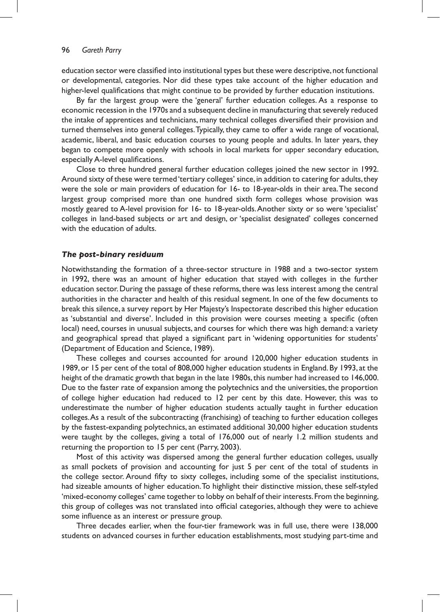education sector were classified into institutional types but these were descriptive, not functional or developmental, categories. Nor did these types take account of the higher education and higher-level qualifications that might continue to be provided by further education institutions.

By far the largest group were the 'general' further education colleges. As a response to economic recession in the 1970s and a subsequent decline in manufacturing that severely reduced the intake of apprentices and technicians, many technical colleges diversified their provision and turned themselves into general colleges.Typically, they came to offer a wide range of vocational, academic, liberal, and basic education courses to young people and adults. In later years, they began to compete more openly with schools in local markets for upper secondary education, especially A-level qualifications.

Close to three hundred general further education colleges joined the new sector in 1992. Around sixty of these were termed 'tertiary colleges' since, in addition to catering for adults, they were the sole or main providers of education for 16- to 18-year-olds in their area.The second largest group comprised more than one hundred sixth form colleges whose provision was mostly geared to A-level provision for 16- to 18-year-olds.Another sixty or so were 'specialist' colleges in land-based subjects or art and design, or 'specialist designated' colleges concerned with the education of adults.

### *The post-binary residuum*

Notwithstanding the formation of a three-sector structure in 1988 and a two-sector system in 1992, there was an amount of higher education that stayed with colleges in the further education sector. During the passage of these reforms, there was less interest among the central authorities in the character and health of this residual segment. In one of the few documents to break this silence, a survey report by Her Majesty's Inspectorate described this higher education as 'substantial and diverse'. Included in this provision were courses meeting a specific (often local) need, courses in unusual subjects, and courses for which there was high demand: a variety and geographical spread that played a significant part in 'widening opportunities for students' (Department of Education and Science, 1989).

These colleges and courses accounted for around 120,000 higher education students in 1989, or 15 per cent of the total of 808,000 higher education students in England.By 1993, at the height of the dramatic growth that began in the late 1980s,this number had increased to 146,000. Due to the faster rate of expansion among the polytechnics and the universities, the proportion of college higher education had reduced to 12 per cent by this date. However, this was to underestimate the number of higher education students actually taught in further education colleges.As a result of the subcontracting (franchising) of teaching to further education colleges by the fastest-expanding polytechnics, an estimated additional 30,000 higher education students were taught by the colleges, giving a total of 176,000 out of nearly 1.2 million students and returning the proportion to 15 per cent (Parry, 2003).

Most of this activity was dispersed among the general further education colleges, usually as small pockets of provision and accounting for just 5 per cent of the total of students in the college sector. Around fifty to sixty colleges, including some of the specialist institutions, had sizeable amounts of higher education.To highlight their distinctive mission, these self-styled 'mixed-economy colleges' came together to lobby on behalf of their interests.From the beginning, this group of colleges was not translated into official categories, although they were to achieve some influence as an interest or pressure group.

Three decades earlier, when the four-tier framework was in full use, there were 138,000 students on advanced courses in further education establishments, most studying part-time and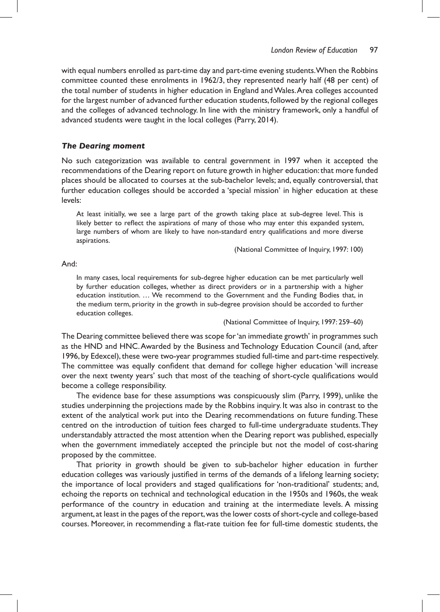with equal numbers enrolled as part-time day and part-time evening students.When the Robbins committee counted these enrolments in 1962/3, they represented nearly half (48 per cent) of the total number of students in higher education in England andWales.Area colleges accounted for the largest number of advanced further education students, followed by the regional colleges and the colleges of advanced technology. In line with the ministry framework, only a handful of advanced students were taught in the local colleges (Parry, 2014).

### *The Dearing moment*

No such categorization was available to central government in 1997 when it accepted the recommendations of the Dearing report on future growth in higher education:that more funded places should be allocated to courses at the sub-bachelor levels; and, equally controversial, that further education colleges should be accorded a 'special mission' in higher education at these levels:

At least initially, we see a large part of the growth taking place at sub-degree level. This is likely better to reflect the aspirations of many of those who may enter this expanded system, large numbers of whom are likely to have non-standard entry qualifications and more diverse aspirations.

(National Committee of Inquiry, 1997: 100)

### And:

In many cases, local requirements for sub-degree higher education can be met particularly well by further education colleges, whether as direct providers or in a partnership with a higher education institution. … We recommend to the Government and the Funding Bodies that, in the medium term, priority in the growth in sub-degree provision should be accorded to further education colleges.

(National Committee of Inquiry, 1997: 259–60)

The Dearing committee believed there was scope for'an immediate growth' in programmes such as the HND and HNC.Awarded by the Business and Technology Education Council (and, after 1996, by Edexcel), these were two-year programmes studied full-time and part-time respectively. The committee was equally confident that demand for college higher education 'will increase over the next twenty years' such that most of the teaching of short-cycle qualifications would become a college responsibility.

The evidence base for these assumptions was conspicuously slim (Parry, 1999), unlike the studies underpinning the projections made by the Robbins inquiry. It was also in contrast to the extent of the analytical work put into the Dearing recommendations on future funding.These centred on the introduction of tuition fees charged to full-time undergraduate students.They understandably attracted the most attention when the Dearing report was published, especially when the government immediately accepted the principle but not the model of cost-sharing proposed by the committee.

That priority in growth should be given to sub-bachelor higher education in further education colleges was variously justified in terms of the demands of a lifelong learning society; the importance of local providers and staged qualifications for 'non-traditional' students; and, echoing the reports on technical and technological education in the 1950s and 1960s, the weak performance of the country in education and training at the intermediate levels. A missing argument, at least in the pages of the report,was the lower costs of short-cycle and college-based courses. Moreover, in recommending a flat-rate tuition fee for full-time domestic students, the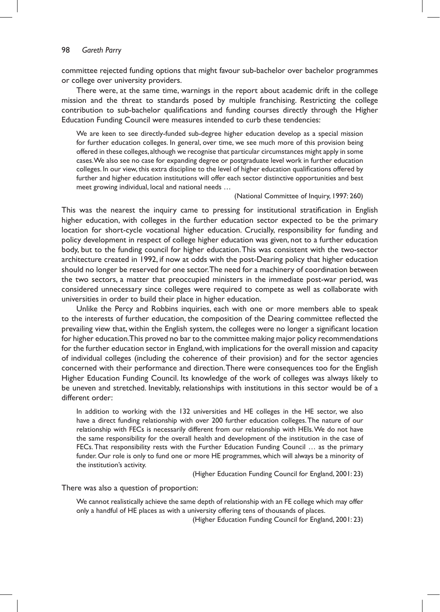committee rejected funding options that might favour sub-bachelor over bachelor programmes or college over university providers.

There were, at the same time, warnings in the report about academic drift in the college mission and the threat to standards posed by multiple franchising. Restricting the college contribution to sub-bachelor qualifications and funding courses directly through the Higher Education Funding Council were measures intended to curb these tendencies:

We are keen to see directly-funded sub-degree higher education develop as a special mission for further education colleges. In general, over time, we see much more of this provision being offered in these colleges, although we recognise that particular circumstances might apply in some cases.We also see no case for expanding degree or postgraduate level work in further education colleges. In our view, this extra discipline to the level of higher education qualifications offered by further and higher education institutions will offer each sector distinctive opportunities and best meet growing individual, local and national needs …

#### (National Committee of Inquiry, 1997: 260)

This was the nearest the inquiry came to pressing for institutional stratification in English higher education, with colleges in the further education sector expected to be the primary location for short-cycle vocational higher education. Crucially, responsibility for funding and policy development in respect of college higher education was given, not to a further education body, but to the funding council for higher education.This was consistent with the two-sector architecture created in 1992, if now at odds with the post-Dearing policy that higher education should no longer be reserved for one sector.The need for a machinery of coordination between the two sectors, a matter that preoccupied ministers in the immediate post-war period, was considered unnecessary since colleges were required to compete as well as collaborate with universities in order to build their place in higher education.

Unlike the Percy and Robbins inquiries, each with one or more members able to speak to the interests of further education, the composition of the Dearing committee reflected the prevailing view that, within the English system, the colleges were no longer a significant location for higher education. This proved no bar to the committee making major policy recommendations for the further education sector in England, with implications for the overall mission and capacity of individual colleges (including the coherence of their provision) and for the sector agencies concerned with their performance and direction.There were consequences too for the English Higher Education Funding Council. Its knowledge of the work of colleges was always likely to be uneven and stretched. Inevitably, relationships with institutions in this sector would be of a different order:

In addition to working with the 132 universities and HE colleges in the HE sector, we also have a direct funding relationship with over 200 further education colleges.The nature of our relationship with FECs is necessarily different from our relationship with HEIs.We do not have the same responsibility for the overall health and development of the institution in the case of FECs. That responsibility rests with the Further Education Funding Council … as the primary funder. Our role is only to fund one or more HE programmes, which will always be a minority of the institution's activity.

(Higher Education Funding Council for England, 2001: 23)

There was also a question of proportion:

We cannot realistically achieve the same depth of relationship with an FE college which may offer only a handful of HE places as with a university offering tens of thousands of places.

(Higher Education Funding Council for England, 2001: 23)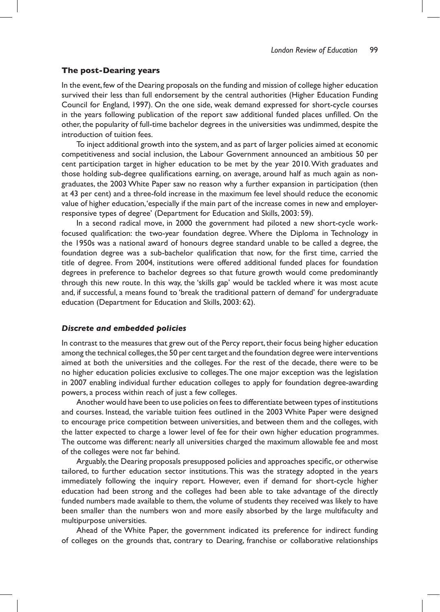#### **The post-Dearing years**

In the event, few of the Dearing proposals on the funding and mission of college higher education survived their less than full endorsement by the central authorities (Higher Education Funding Council for England, 1997). On the one side, weak demand expressed for short-cycle courses in the years following publication of the report saw additional funded places unfilled. On the other, the popularity of full-time bachelor degrees in the universities was undimmed, despite the introduction of tuition fees.

To inject additional growth into the system, and as part of larger policies aimed at economic competitiveness and social inclusion, the Labour Government announced an ambitious 50 per cent participation target in higher education to be met by the year 2010.With graduates and those holding sub-degree qualifications earning, on average, around half as much again as nongraduates, the 2003 White Paper saw no reason why a further expansion in participation (then at 43 per cent) and a three-fold increase in the maximum fee level should reduce the economic value of higher education,'especially if the main part of the increase comes in new and employerresponsive types of degree' (Department for Education and Skills, 2003: 59).

In a second radical move, in 2000 the government had piloted a new short-cycle workfocused qualification: the two-year foundation degree. Where the Diploma in Technology in the 1950s was a national award of honours degree standard unable to be called a degree, the foundation degree was a sub-bachelor qualification that now, for the first time, carried the title of degree. From 2004, institutions were offered additional funded places for foundation degrees in preference to bachelor degrees so that future growth would come predominantly through this new route. In this way, the 'skills gap' would be tackled where it was most acute and, if successful, a means found to 'break the traditional pattern of demand' for undergraduate education (Department for Education and Skills, 2003: 62).

#### *Discrete and embedded policies*

In contrast to the measures that grew out of the Percy report, their focus being higher education among the technical colleges, the 50 per cent target and the foundation degree were interventions aimed at both the universities and the colleges. For the rest of the decade, there were to be no higher education policies exclusive to colleges.The one major exception was the legislation in 2007 enabling individual further education colleges to apply for foundation degree-awarding powers, a process within reach of just a few colleges.

Another would have been to use policies on feesto differentiate between types of institutions and courses. Instead, the variable tuition fees outlined in the 2003 White Paper were designed to encourage price competition between universities, and between them and the colleges, with the latter expected to charge a lower level of fee for their own higher education programmes. The outcome was different: nearly all universities charged the maximum allowable fee and most of the colleges were not far behind.

Arguably, the Dearing proposals presupposed policies and approaches specific, or otherwise tailored, to further education sector institutions. This was the strategy adopted in the years immediately following the inquiry report. However, even if demand for short-cycle higher education had been strong and the colleges had been able to take advantage of the directly funded numbers made available to them, the volume of students they received was likely to have been smaller than the numbers won and more easily absorbed by the large multifaculty and multipurpose universities.

Ahead of the White Paper, the government indicated its preference for indirect funding of colleges on the grounds that, contrary to Dearing, franchise or collaborative relationships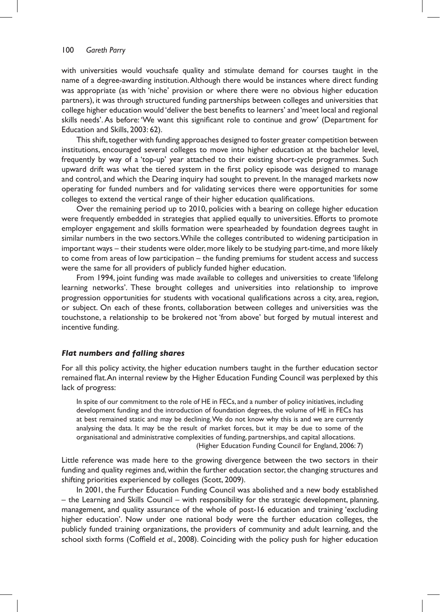with universities would vouchsafe quality and stimulate demand for courses taught in the name of a degree-awarding institution.Although there would be instances where direct funding was appropriate (as with 'niche' provision or where there were no obvious higher education partners), it was through structured funding partnerships between colleges and universities that college higher education would 'deliver the best benefits to learners' and 'meet local and regional skills needs'.As before: 'We want this significant role to continue and grow' (Department for Education and Skills, 2003: 62).

This shift, together with funding approaches designed to foster greater competition between institutions, encouraged several colleges to move into higher education at the bachelor level, frequently by way of a 'top-up' year attached to their existing short-cycle programmes. Such upward drift was what the tiered system in the first policy episode was designed to manage and control, and which the Dearing inquiry had sought to prevent. In the managed markets now operating for funded numbers and for validating services there were opportunities for some colleges to extend the vertical range of their higher education qualifications.

Over the remaining period up to 2010, policies with a bearing on college higher education were frequently embedded in strategies that applied equally to universities. Efforts to promote employer engagement and skills formation were spearheaded by foundation degrees taught in similar numbers in the two sectors.While the colleges contributed to widening participation in important ways – their students were older, more likely to be studying part-time, and more likely to come from areas of low participation – the funding premiums for student access and success were the same for all providers of publicly funded higher education.

From 1994, joint funding was made available to colleges and universities to create 'lifelong learning networks'. These brought colleges and universities into relationship to improve progression opportunities for students with vocational qualifications across a city, area, region, or subject. On each of these fronts, collaboration between colleges and universities was the touchstone, a relationship to be brokered not 'from above' but forged by mutual interest and incentive funding.

### *Flat numbers and falling shares*

For all this policy activity, the higher education numbers taught in the further education sector remained flat.An internal review by the Higher Education Funding Council was perplexed by this lack of progress:

In spite of our commitment to the role of HE in FECs, and a number of policy initiatives, including development funding and the introduction of foundation degrees, the volume of HE in FECs has at best remained static and may be declining.We do not know why this is and we are currently analysing the data. It may be the result of market forces, but it may be due to some of the organisational and administrative complexities of funding, partnerships, and capital allocations. (Higher Education Funding Council for England, 2006: 7)

Little reference was made here to the growing divergence between the two sectors in their funding and quality regimes and, within the further education sector, the changing structures and shifting priorities experienced by colleges (Scott, 2009).

In 2001, the Further Education Funding Council was abolished and a new body established – the Learning and Skills Council – with responsibility for the strategic development, planning, management, and quality assurance of the whole of post-16 education and training 'excluding higher education'. Now under one national body were the further education colleges, the publicly funded training organizations, the providers of community and adult learning, and the school sixth forms (Coffield *et al*., 2008). Coinciding with the policy push for higher education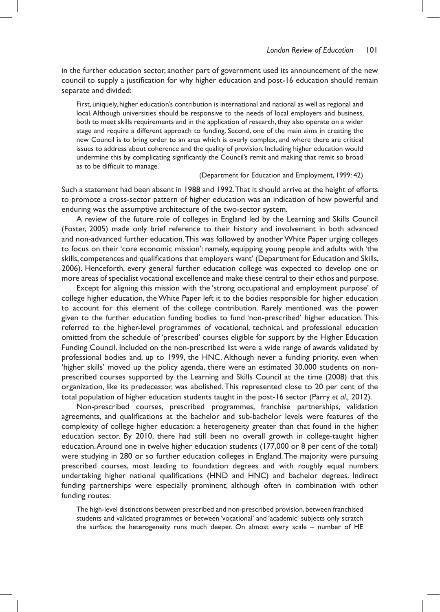in the further education sector, another part of government used its announcement of the new council to supply a justification for why higher education and post-16 education should remain separate and divided:

First, uniquely, higher education's contribution is international and national as well as regional and local.Although universities should be responsive to the needs of local employers and business, both to meet skills requirements and in the application of research, they also operate on a wider stage and require a different approach to funding. Second, one of the main aims in creating the new Council is to bring order to an area which is overly complex, and where there are critical issues to address about coherence and the quality of provision. Including higher education would undermine this by complicating significantly the Council's remit and making that remit so broad as to be difficult to manage.

(Department for Education and Employment, 1999: 42)

Such a statement had been absent in 1988 and 1992.That it should arrive at the height of efforts to promote a cross-sector pattern of higher education was an indication of how powerful and enduring was the assumptive architecture of the two-sector system.

A review of the future role of colleges in England led by the Learning and Skills Council (Foster, 2005) made only brief reference to their history and involvement in both advanced and non-advanced further education. This was followed by another White Paper urging colleges to focus on their 'core economic mission': namely, equipping young people and adults with 'the skills, competences and qualifications that employers want' (Department for Education and Skills, 2006). Henceforth, every general further education college was expected to develop one or more areas of specialist vocational excellence and make these central to their ethos and purpose.

Except for aligning this mission with the 'strong occupational and employment purpose' of college higher education, theWhite Paper left it to the bodies responsible for higher education to account for this element of the college contribution. Rarely mentioned was the power given to the further education funding bodies to fund 'non-prescribed' higher education. This referred to the higher-level programmes of vocational, technical, and professional education omitted from the schedule of 'prescribed' courses eligible for support by the Higher Education Funding Council. Included on the non-prescribed list were a wide range of awards validated by professional bodies and, up to 1999, the HNC. Although never a funding priority, even when 'higher skills' moved up the policy agenda, there were an estimated 30,000 students on nonprescribed courses supported by the Learning and Skills Council at the time (2008) that this organization, like its predecessor, was abolished.This represented close to 20 per cent of the total population of higher education students taught in the post-16 sector (Parry *et al.,* 2012).

Non-prescribed courses, prescribed programmes, franchise partnerships, validation agreements, and qualifications at the bachelor and sub-bachelor levels were features of the complexity of college higher education: a heterogeneity greater than that found in the higher education sector. By 2010, there had still been no overall growth in college-taught higher education.Around one in twelve higher education students (177,000 or 8 per cent of the total) were studying in 280 or so further education colleges in England.The majority were pursuing prescribed courses, most leading to foundation degrees and with roughly equal numbers undertaking higher national qualifications (HND and HNC) and bachelor degrees. Indirect funding partnerships were especially prominent, although often in combination with other funding routes:

The high-level distinctions between prescribed and non-prescribed provision, between franchised students and validated programmes or between 'vocational' and 'academic' subjects only scratch the surface; the heterogeneity runs much deeper. On almost every scale – number of HE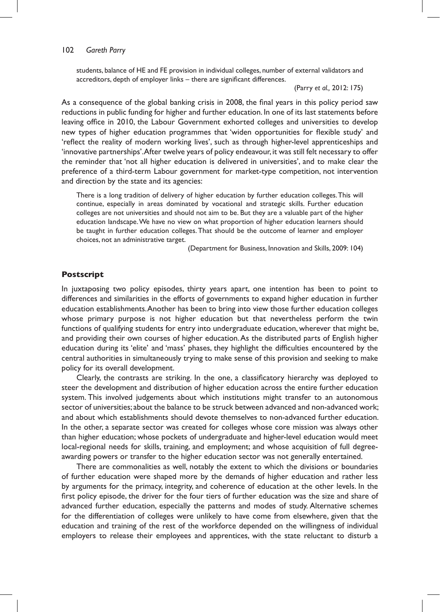#### 102 *Gareth Parry*

students, balance of HE and FE provision in individual colleges, number of external validators and accreditors, depth of employer links – there are significant differences.

(Parry *et al.,* 2012: 175)

As a consequence of the global banking crisis in 2008, the final years in this policy period saw reductions in public funding for higher and further education. In one of its last statements before leaving office in 2010, the Labour Government exhorted colleges and universities to develop new types of higher education programmes that 'widen opportunities for flexible study' and 'reflect the reality of modern working lives', such as through higher-level apprenticeships and 'innovative partnerships'.After twelve years of policy endeavour, it was still felt necessary to offer the reminder that 'not all higher education is delivered in universities', and to make clear the preference of a third-term Labour government for market-type competition, not intervention and direction by the state and its agencies:

There is a long tradition of delivery of higher education by further education colleges.This will continue, especially in areas dominated by vocational and strategic skills. Further education colleges are not universities and should not aim to be. But they are a valuable part of the higher education landscape.We have no view on what proportion of higher education learners should be taught in further education colleges.That should be the outcome of learner and employer choices, not an administrative target.

(Department for Business, Innovation and Skills, 2009: 104)

### **Postscript**

In juxtaposing two policy episodes, thirty years apart, one intention has been to point to differences and similarities in the efforts of governments to expand higher education in further education establishments.Another has been to bring into view those further education colleges whose primary purpose is not higher education but that nevertheless perform the twin functions of qualifying students for entry into undergraduate education, wherever that might be, and providing their own courses of higher education.As the distributed parts of English higher education during its 'elite' and 'mass' phases, they highlight the difficulties encountered by the central authorities in simultaneously trying to make sense of this provision and seeking to make policy for its overall development.

Clearly, the contrasts are striking. In the one, a classificatory hierarchy was deployed to steer the development and distribution of higher education across the entire further education system. This involved judgements about which institutions might transfer to an autonomous sector of universities; about the balance to be struck between advanced and non-advanced work; and about which establishments should devote themselves to non-advanced further education. In the other, a separate sector was created for colleges whose core mission was always other than higher education; whose pockets of undergraduate and higher-level education would meet local-regional needs for skills, training, and employment; and whose acquisition of full degreeawarding powers or transfer to the higher education sector was not generally entertained.

There are commonalities as well, notably the extent to which the divisions or boundaries of further education were shaped more by the demands of higher education and rather less by arguments for the primacy, integrity, and coherence of education at the other levels. In the first policy episode, the driver for the four tiers of further education was the size and share of advanced further education, especially the patterns and modes of study. Alternative schemes for the differentiation of colleges were unlikely to have come from elsewhere, given that the education and training of the rest of the workforce depended on the willingness of individual employers to release their employees and apprentices, with the state reluctant to disturb a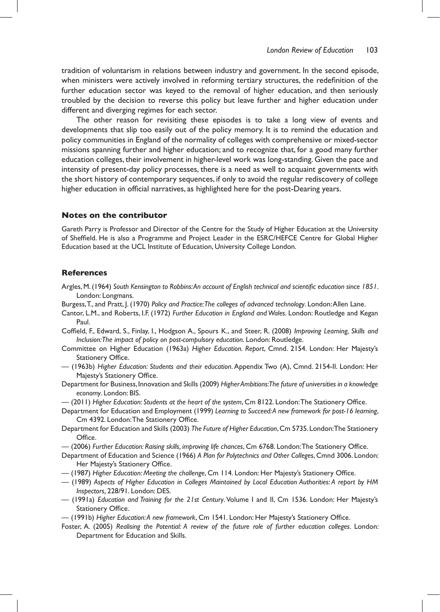tradition of voluntarism in relations between industry and government. In the second episode, when ministers were actively involved in reforming tertiary structures, the redefinition of the further education sector was keyed to the removal of higher education, and then seriously troubled by the decision to reverse this policy but leave further and higher education under different and diverging regimes for each sector.

The other reason for revisiting these episodes is to take a long view of events and developments that slip too easily out of the policy memory. It is to remind the education and policy communities in England of the normality of colleges with comprehensive or mixed-sector missions spanning further and higher education; and to recognize that, for a good many further education colleges,their involvement in higher-level work was long-standing. Given the pace and intensity of present-day policy processes, there is a need as well to acquaint governments with the short history of contemporary sequences, if only to avoid the regular rediscovery of college higher education in official narratives, as highlighted here for the post-Dearing years.

### **Notes on the contributor**

Gareth Parry is Professor and Director of the Centre for the Study of Higher Education at the University of Sheffield. He is also a Programme and Project Leader in the ESRC/HEFCE Centre for Global Higher Education based at the UCL Institute of Education, University College London.

### **References**

- Argles,M.(1964) *South Kensington to Robbins: An account of English technical and scientific education since 1851*. London: Longmans.
- Burgess,T., and Pratt, J. (1970) *Policy and Practice: The colleges of advanced technology*. London:Allen Lane.
- Cantor, L.M., and Roberts, I.F. (1972) *Further Education in England and Wales*. London: Routledge and Kegan Paul.
- Coffield, F., Edward, S., Finlay, I., Hodgson A., Spours K., and Steer, R. (2008) *Improving Learning, Skills and Inclusion: The impact of policy on post-compulsory education*. London: Routledge.
- Committee on Higher Education (1963a) *Higher Education. Report*, Cmnd. 2154. London: Her Majesty's Stationery Office.
- (1963b) *Higher Education: Students and their education*.Appendix Two (A), Cmnd. 2154-II. London: Her Majesty's Stationery Office.
- Department for Business,Innovation and Skills (2009) *Higher Ambitions: The future of universities in a knowledge economy*. London: BIS.
- (2011) *Higher Education: Students at the heart of the system*, Cm 8122. London:The Stationery Office.
- Department for Education and Employment (1999) *Learning to Succeed: A new framework for post-16 learning*, Cm 4392. London:The Stationery Office.
- Department for Education and Skills (2003) *The Future of Higher Education*,Cm 5735.London:The Stationery Office.
- (2006) *Further Education: Raising skills, improving life chances*, Cm 6768. London:The Stationery Office.
- Department of Education and Science (1966) *A Plan for Polytechnics and Other Colleges*, Cmnd 3006. London: Her Majesty's Stationery Office.
- (1987) *Higher Education: Meeting the challenge*, Cm 114. London: Her Majesty's Stationery Office.
- (1989) *Aspects of Higher Education in Colleges Maintained by Local Education Authorities: A report by HM Inspectors,* 228/91. London: DES.
- (1991a) *Education and Training for the 21st Century*.Volume I and II, Cm 1536. London: Her Majesty's Stationery Office.
- (1991b) *Higher Education: A new framework*, Cm 1541. London: Her Majesty's Stationery Office.
- Foster, A. (2005) *Realising the Potential: A review of the future role of further education colleges*. London: Department for Education and Skills.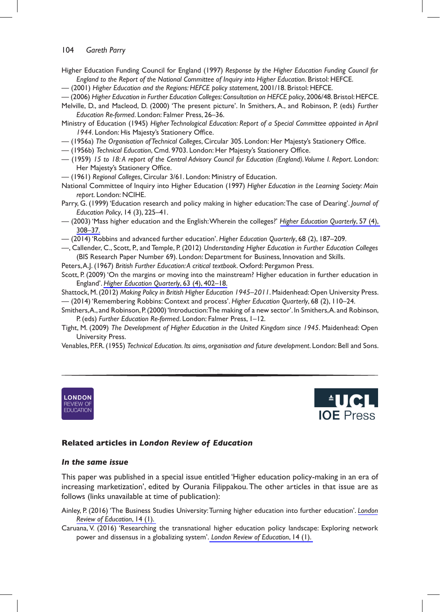### 104 *Gareth Parry*

- Higher Education Funding Council for England (1997) Response by the Higher Education Funding Council for England to the Report of the National Committee of Inquiry into Higher Education. Bristol: HEFCE.
- —(2001)*Higher Education and the Regions: HEFCE policy statement*,2001/18.Bristol:HEFCE.
- —(2006)*Higher Education in Further Education Colleges: Consultation on HEFCE policy*,2006/48.Bristol:HEFCE.
- Melville, D., and Macleod, D. (2000) 'The present picture'. In Smithers, A., and Robinson, P. (eds) *Further* Education Re-formed. London: Falmer Press, 26-36.

MinistryofEducation(1945)*Higher Technological Education: Report of a Special Committee appointed in April*  1944. London: His Majesty's Stationery Office.

- $-$  (1956a) The Organisation of Technical Colleges, Circular 305. London: Her Majesty's Stationery Office.
- $-$  (1956b) Technical Education, Cmd. 9703. London: Her Majesty's Stationery Office.
- —(1959)*15 to 18: A report of the Central Advisory Council for Education (England). Volume I. Report*.London: Her Majesty's Stationery Office.
- —(1961)*Regional Colleges*,Circular3/61.London:MinistryofEducation.
- National Committee of Inquiry into Higher Education (1997) Higher Education in the Learning Society: Main report. London: NCIHE.
- Parry, G. (1999) 'Education research and policy making in higher education: The case of Dearing'. *Journal of Education Policy*,14(3),225–41.
- —(2003)'MasshighereducationandtheEnglish:Whereinthecolleges?'*[Higher Education Quarterly](http://www.ingentaconnect.com/content/external-references?article=0951-5224()57:4L.308[aid=10293996])*,57(4), [308–37.](http://www.ingentaconnect.com/content/external-references?article=0951-5224()57:4L.308[aid=10293996])
- —(2014)'Robbinsandadvancedfurthereducation'.*Higher Education Quarterly*,68(2),187–209.
- —,Callender,C.,Scott,P.,andTemple,P.(2012)*Understanding Higher Education in Further Education Colleges* (BIS Research Paper Number 69). London: Department for Business, Innovation and Skills.
- Peters, A.J. (1967) British Further Education: A critical textbook. Oxford: Pergamon Press.
- Scott, P. (2009) 'On the margins or moving into the mainstream? Higher education in further education in England'.*[Higher Education Quarterly](http://www.ingentaconnect.com/content/external-references?article=0951-5224()6L.3[aid=10767732])*,63(4),402–18.

Shattock, M. (2012) Making Policy in British Higher Education 1945–2011. Maidenhead: Open University Press. —(2014)'RememberingRobbins:Contextandprocess'.*Higher Education Quarterly*,68(2),110–24.

- Smithers, A., and Robinson, P. (2000) 'Introduction: The making of a new sector'. In Smithers, A. and Robinson, P. (eds) Further Education Re-formed. London: Falmer Press, 1-12.
- Tight,M.(2009)*The Development of Higher Education in the United Kingdom since 1945*.Maidenhead:Open University Press.
- Venables,P.F.R.(1955)*Technical Education. Its aims, organisation and future development*.London:BellandSons.





## **Related articles in** *London Review of Education*

### *In the same issue*

This paper was published in a special issue entitled 'Higher education policy-making in an era of increasing marketization', edited by Ourania Filippakou. The other articles in that issue are as follows (links unavailable at time of publication):

Ainley, P. (2016) 'The Business Studies University: Turning higher education into further education'. [London](http://www.ingentaconnect.com/content/external-references?article=1474-8460()1L.4[aid=10767722]) *[Review of Education](http://www.ingentaconnect.com/content/external-references?article=1474-8460()1L.4[aid=10767722])*,14(1).

Caruana,V. (2016)'Researching the transnational higher education policy landscape: Exploring network power and dissensus in a globalizing system'. [London Review of Education](http://www.ingentaconnect.com/content/external-references?article=1474-8460()1L.4[aid=10767722]), 14 (1).